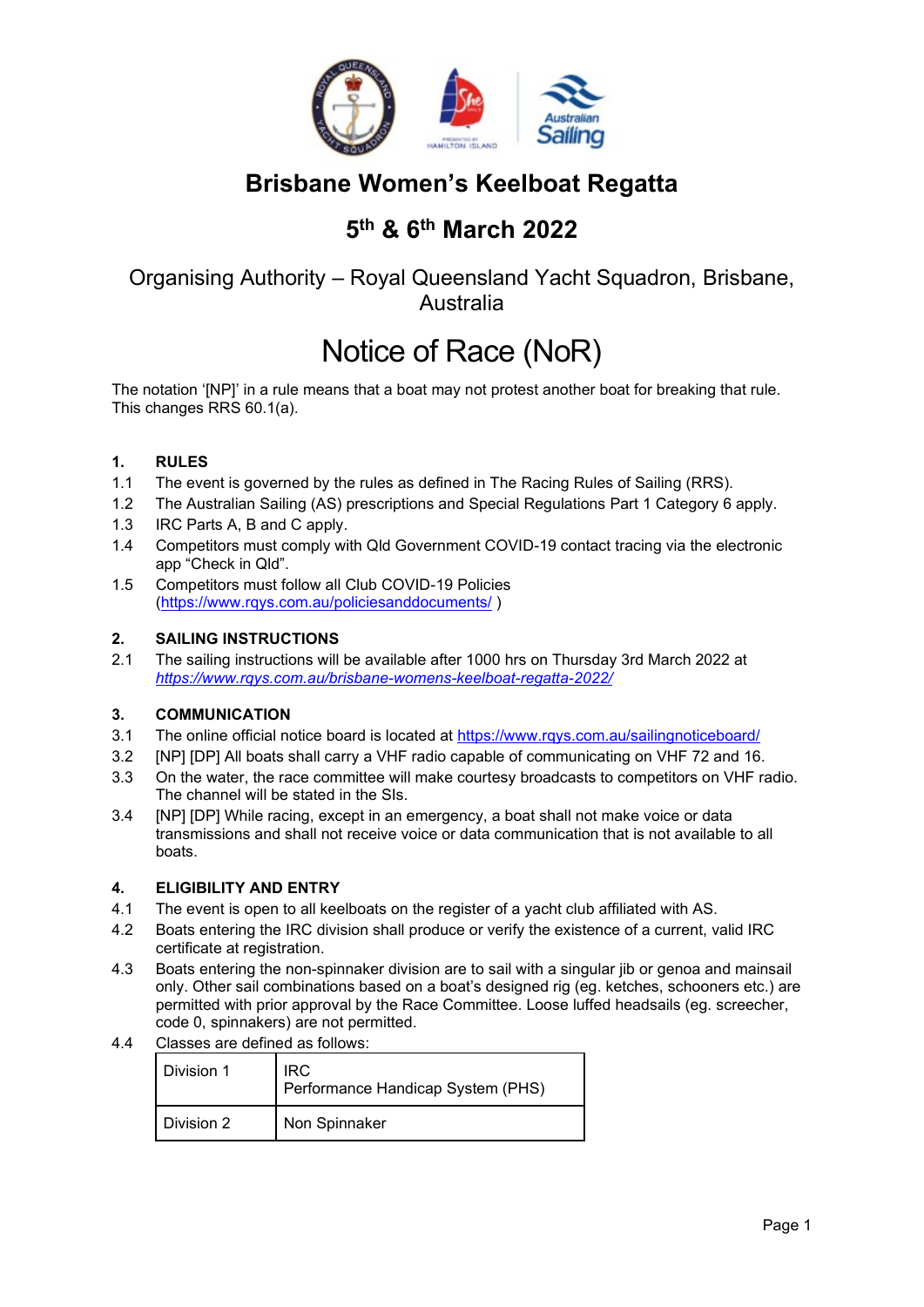

# **Brisbane Women's Keelboat Regatta**

# **5th & 6th March 2022**

### Organising Authority – Royal Queensland Yacht Squadron, Brisbane, Australia

# Notice of Race (NoR)

The notation '[NP]' in a rule means that a boat may not protest another boat for breaking that rule. This changes RRS 60.1(a).

#### **1. RULES**

- 1.1 The event is governed by the rules as defined in The Racing Rules of Sailing (RRS).
- 1.2 The Australian Sailing (AS) prescriptions and Special Regulations Part 1 Category 6 apply.
- 1.3 IRC Parts A, B and C apply.
- 1.4 Competitors must comply with Qld Government COVID-19 contact tracing via the electronic app "Check in Qld".
- 1.5 Competitors must follow all Club COVID-19 Policies [\(https://www.rqys.com.au/policiesanddocuments/](https://www.rqys.com.au/policiesanddocuments/) )

#### **2. SAILING INSTRUCTIONS**

2.1 The sailing instructions will be available after 1000 hrs on Thursday 3rd March 2022 at *<https://www.rqys.com.au/brisbane-womens-keelboat-regatta-2022/>*

#### **3. COMMUNICATION**

- 3.1 The online official notice board is located at<https://www.rqys.com.au/sailingnoticeboard/>
- 3.2 [NP] [DP] All boats shall carry a VHF radio capable of communicating on VHF 72 and 16.
- 3.3 On the water, the race committee will make courtesy broadcasts to competitors on VHF radio. The channel will be stated in the SIs.
- 3.4 [NP] [DP] While racing, except in an emergency, a boat shall not make voice or data transmissions and shall not receive voice or data communication that is not available to all boats.

#### **4. ELIGIBILITY AND ENTRY**

- 4.1 The event is open to all keelboats on the register of a yacht club affiliated with AS.
- 4.2 Boats entering the IRC division shall produce or verify the existence of a current, valid IRC certificate at registration.
- 4.3 Boats entering the non-spinnaker division are to sail with a singular jib or genoa and mainsail only. Other sail combinations based on a boat's designed rig (eg. ketches, schooners etc.) are permitted with prior approval by the Race Committee. Loose luffed headsails (eg. screecher, code 0, spinnakers) are not permitted.
- 4.4 Classes are defined as follows:

| Division 1 | IRC.<br>Performance Handicap System (PHS) |
|------------|-------------------------------------------|
| Division 2 | Non Spinnaker                             |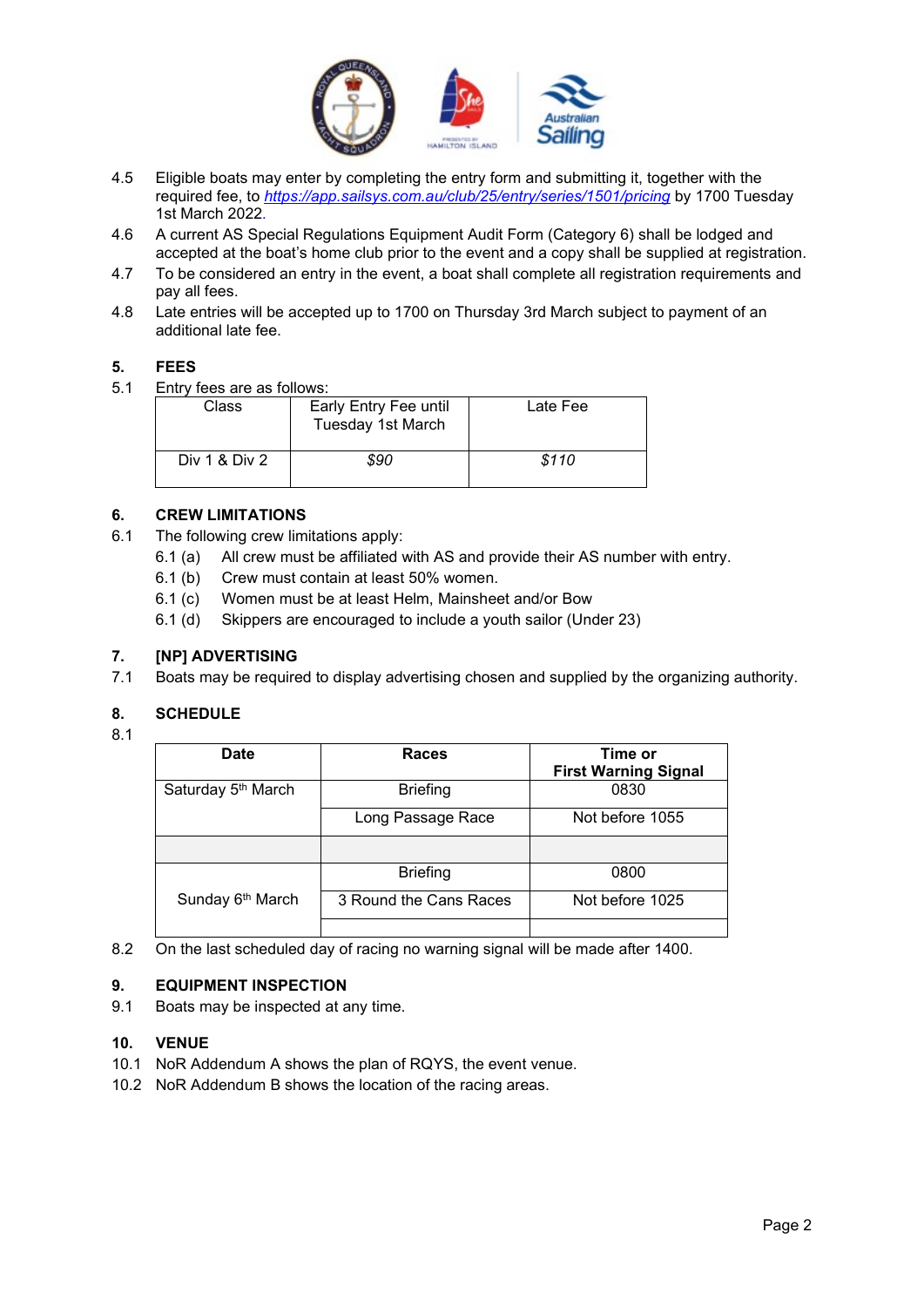

- 4.5 Eligible boats may enter by completing the entry form and submitting it, together with the required fee, to *<https://app.sailsys.com.au/club/25/entry/series/1501/pricing>* by 1700 Tuesday 1st March 2022*.*
- 4.6 A current AS Special Regulations Equipment Audit Form (Category 6) shall be lodged and accepted at the boat's home club prior to the event and a copy shall be supplied at registration.
- 4.7 To be considered an entry in the event, a boat shall complete all registration requirements and pay all fees.
- 4.8 Late entries will be accepted up to 1700 on Thursday 3rd March subject to payment of an additional late fee.

#### **5. FEES**

5.1 Entry fees are as follows:

| Class         | Early Entry Fee until<br>Tuesday 1st March | Late Fee |
|---------------|--------------------------------------------|----------|
| Div 1 & Div 2 | \$90                                       | \$110    |

#### **6. CREW LIMITATIONS**

- 6.1 The following crew limitations apply:
	- 6.1 (a) All crew must be affiliated with AS and provide their AS number with entry.
	- 6.1 (b) Crew must contain at least 50% women.
	- 6.1 (c) Women must be at least Helm, Mainsheet and/or Bow
	- 6.1 (d) Skippers are encouraged to include a youth sailor (Under 23)

#### **7. [NP] ADVERTISING**

7.1 Boats may be required to display advertising chosen and supplied by the organizing authority.

#### **8. SCHEDULE**

8.1

## **Date Races Time** or **First Warning Signal** Saturday  $5<sup>th</sup>$  March Briefing Long Passage Race Not before 1055 Sunday 6<sup>th</sup> March Briefing | 0800 3 Round the Cans Races Not before 1025

8.2 On the last scheduled day of racing no warning signal will be made after 1400.

#### **9. EQUIPMENT INSPECTION**

9.1 Boats may be inspected at any time.

#### **10. VENUE**

- 10.1 NoR Addendum A shows the plan of RQYS, the event venue.
- 10.2 NoR Addendum B shows the location of the racing areas.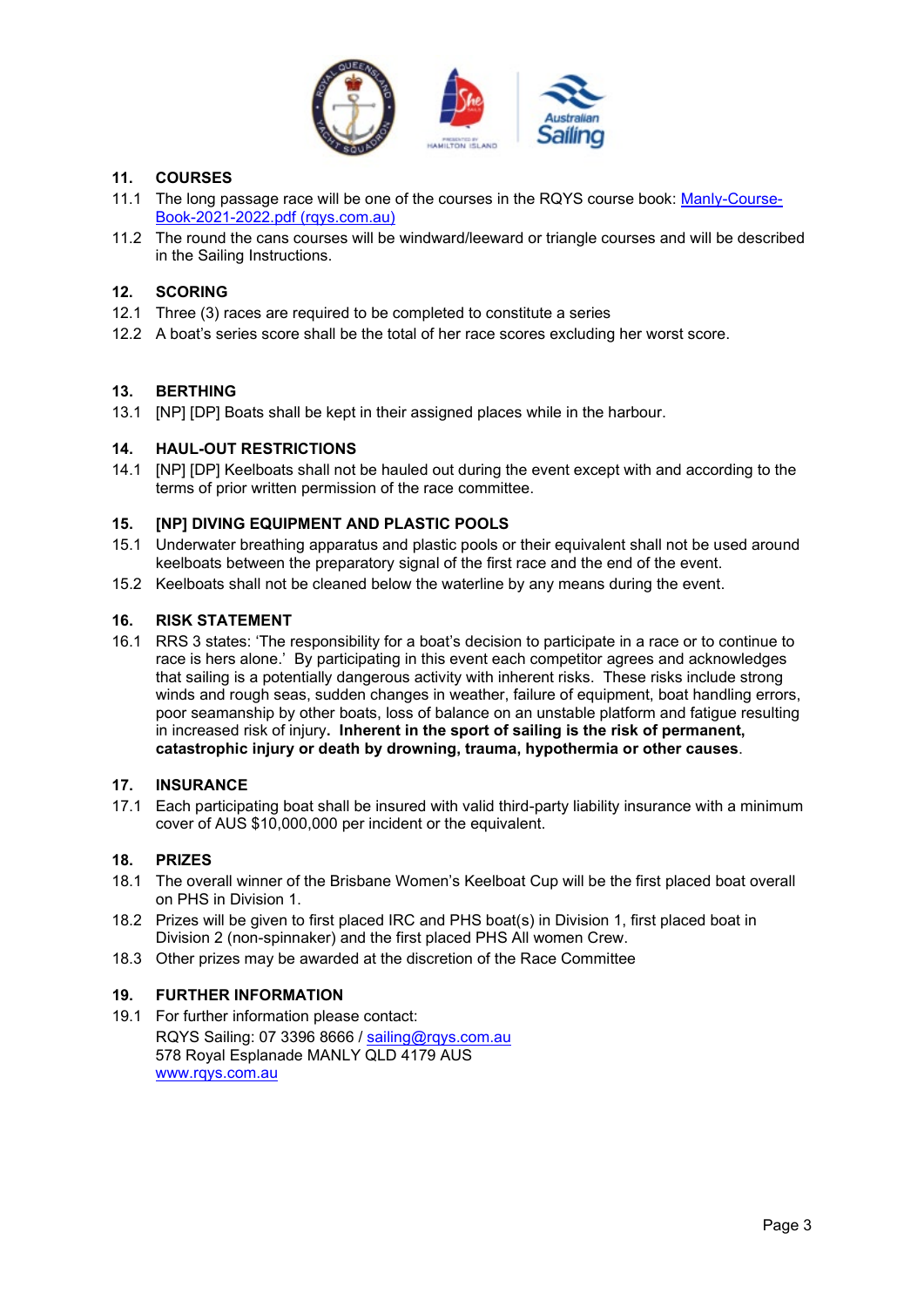

#### **11. COURSES**

- 11.1 The long passage race will be one of the courses in the RQYS course book: [Manly-Course-](https://www.rqys.com.au/wp-content/uploads/2021/09/Manly-Course-Book-2021-2022.pdf)[Book-2021-2022.pdf \(rqys.com.au\)](https://www.rqys.com.au/wp-content/uploads/2021/09/Manly-Course-Book-2021-2022.pdf)
- 11.2 The round the cans courses will be windward/leeward or triangle courses and will be described in the Sailing Instructions.

#### **12. SCORING**

- 12.1 Three (3) races are required to be completed to constitute a series
- 12.2 A boat's series score shall be the total of her race scores excluding her worst score.

#### **13. BERTHING**

13.1 [NP] [DP] Boats shall be kept in their assigned places while in the harbour.

#### **14. HAUL-OUT RESTRICTIONS**

14.1 [NP] [DP] Keelboats shall not be hauled out during the event except with and according to the terms of prior written permission of the race committee.

#### **15. [NP] DIVING EQUIPMENT AND PLASTIC POOLS**

- 15.1 Underwater breathing apparatus and plastic pools or their equivalent shall not be used around keelboats between the preparatory signal of the first race and the end of the event.
- 15.2 Keelboats shall not be cleaned below the waterline by any means during the event.

#### **16. RISK STATEMENT**

16.1 RRS 3 states: 'The responsibility for a boat's decision to participate in a race or to continue to race is hers alone.' By participating in this event each competitor agrees and acknowledges that sailing is a potentially dangerous activity with inherent risks. These risks include strong winds and rough seas, sudden changes in weather, failure of equipment, boat handling errors, poor seamanship by other boats, loss of balance on an unstable platform and fatigue resulting in increased risk of injury**. Inherent in the sport of sailing is the risk of permanent, catastrophic injury or death by drowning, trauma, hypothermia or other causes**.

#### **17. INSURANCE**

17.1 Each participating boat shall be insured with valid third-party liability insurance with a minimum cover of AUS \$10,000,000 per incident or the equivalent.

#### **18. PRIZES**

- 18.1 The overall winner of the Brisbane Women's Keelboat Cup will be the first placed boat overall on PHS in Division 1.
- 18.2 Prizes will be given to first placed IRC and PHS boat(s) in Division 1, first placed boat in Division 2 (non-spinnaker) and the first placed PHS All women Crew.
- 18.3 Other prizes may be awarded at the discretion of the Race Committee

#### **19. FURTHER INFORMATION**

19.1 For further information please contact: RQYS Sailing: 07 3396 8666 / [sailing@rqys.com.au](mailto:sailing@rqys.com.au) 578 Royal Esplanade MANLY QLD 4179 AUS [www.rqys.com.au](http://www.rqys.com.au/)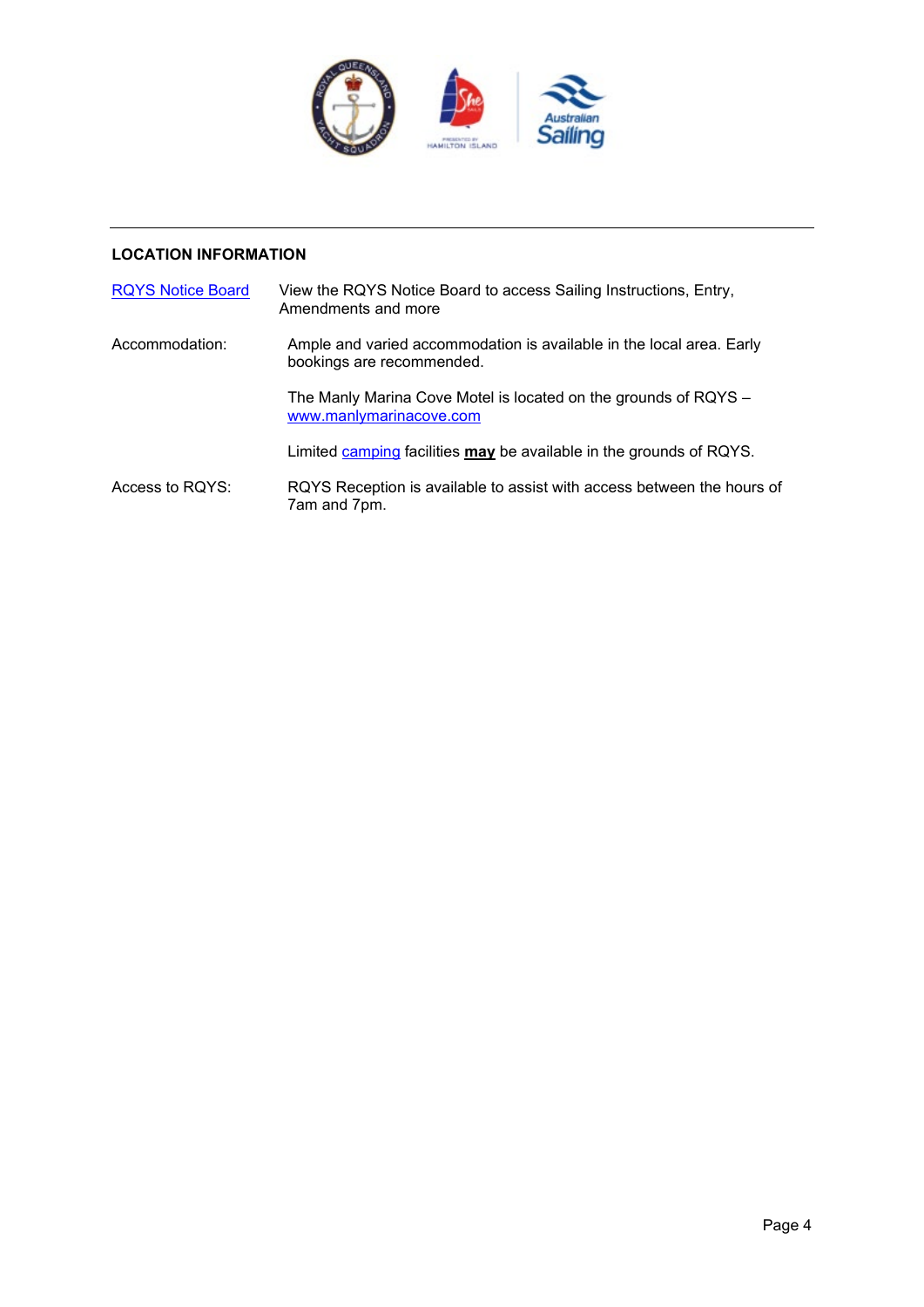

#### **LOCATION INFORMATION**

| <b>RQYS Notice Board</b> | View the RQYS Notice Board to access Sailing Instructions, Entry,<br>Amendments and more          |
|--------------------------|---------------------------------------------------------------------------------------------------|
| Accommodation:           | Ample and varied accommodation is available in the local area. Early<br>bookings are recommended. |
|                          | The Manly Marina Cove Motel is located on the grounds of RQYS -<br>www.manlymarinacove.com        |
|                          | Limited camping facilities may be available in the grounds of RQYS.                               |
| Access to RQYS:          | RQYS Reception is available to assist with access between the hours of<br>7am and 7pm.            |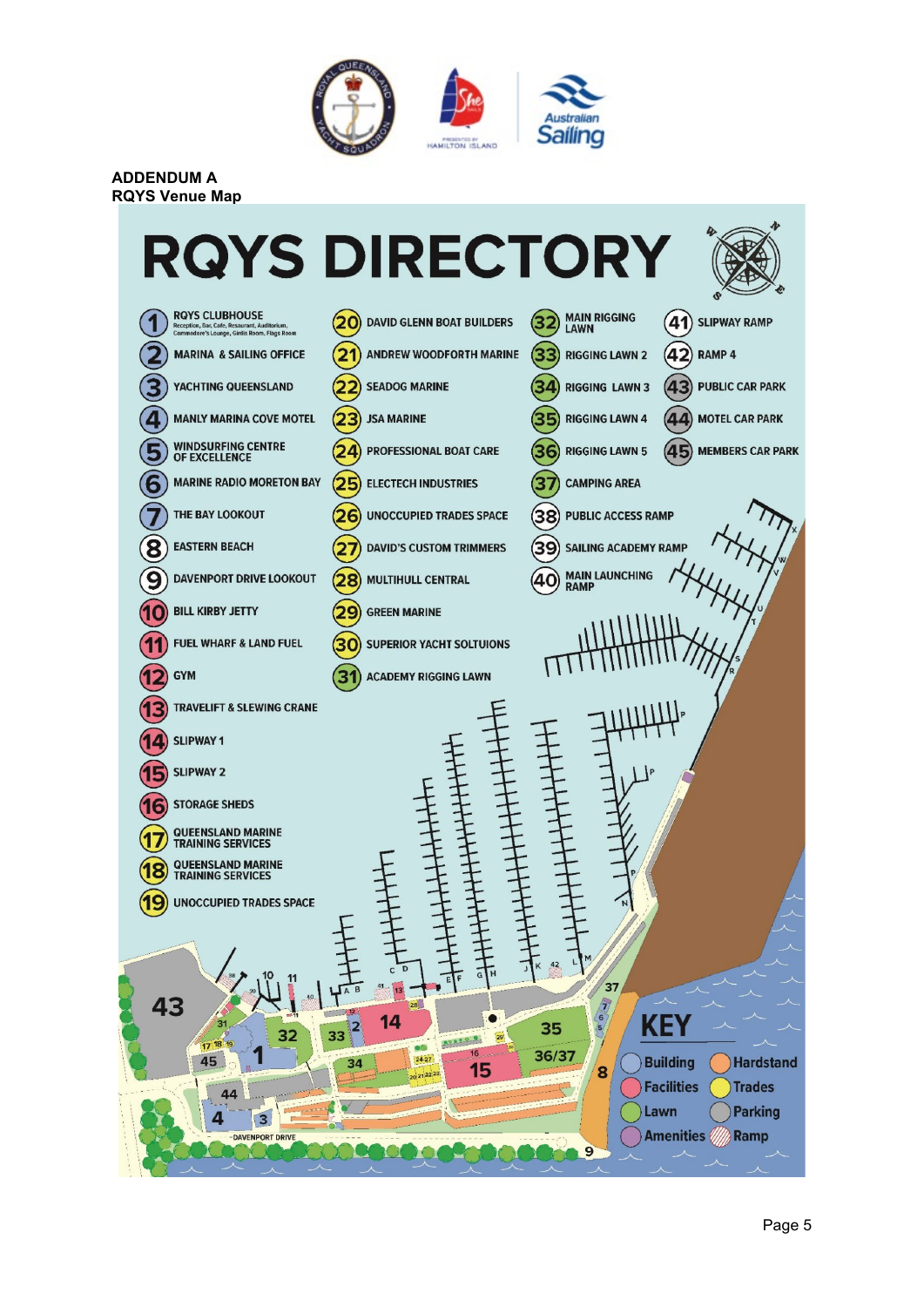

**ADDENDUM A RQYS Venue Map**

# **RQYS DIRECTORY**